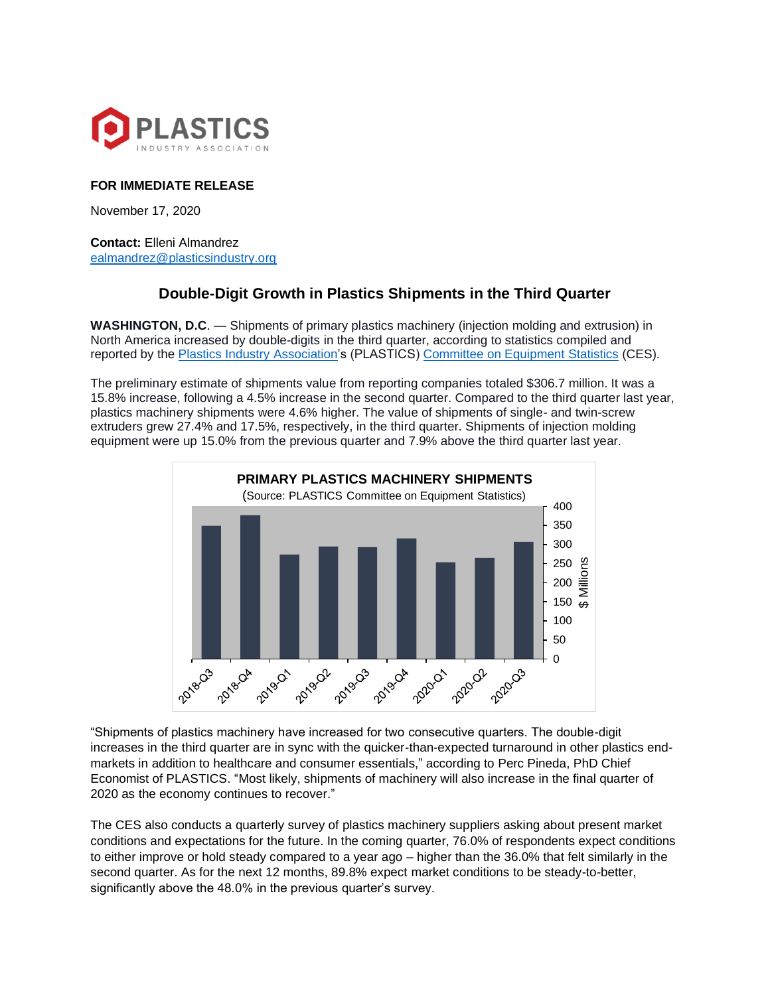

## **FOR IMMEDIATE RELEASE**

November 17, 2020

**Contact:** Elleni Almandrez [ealmandrez@plasticsindustry.org](mailto:ealmandrez@plasticsindustry.org)

## **Double-Digit Growth in Plastics Shipments in the Third Quarter**

**WASHINGTON, D.C**. — Shipments of primary plastics machinery (injection molding and extrusion) in North America increased by double-digits in the third quarter, according to statistics compiled and reported by the [Plastics Industry Association's](http://plasticsindustry.org/) (PLASTICS) [Committee on Equipment Statistics](https://www.plasticsindustry.org/supply-chain/equipment-suppliers-moldmakers/committee-equipment-statistics-ces) (CES).

The preliminary estimate of shipments value from reporting companies totaled \$306.7 million. It was a 15.8% increase, following a 4.5% increase in the second quarter. Compared to the third quarter last year, plastics machinery shipments were 4.6% higher. The value of shipments of single- and twin-screw extruders grew 27.4% and 17.5%, respectively, in the third quarter. Shipments of injection molding equipment were up 15.0% from the previous quarter and 7.9% above the third quarter last year.



"Shipments of plastics machinery have increased for two consecutive quarters. The double-digit increases in the third quarter are in sync with the quicker-than-expected turnaround in other plastics endmarkets in addition to healthcare and consumer essentials," according to Perc Pineda, PhD Chief Economist of PLASTICS. "Most likely, shipments of machinery will also increase in the final quarter of 2020 as the economy continues to recover."

The CES also conducts a quarterly survey of plastics machinery suppliers asking about present market conditions and expectations for the future. In the coming quarter, 76.0% of respondents expect conditions to either improve or hold steady compared to a year ago – higher than the 36.0% that felt similarly in the second quarter. As for the next 12 months, 89.8% expect market conditions to be steady-to-better, significantly above the 48.0% in the previous quarter's survey.